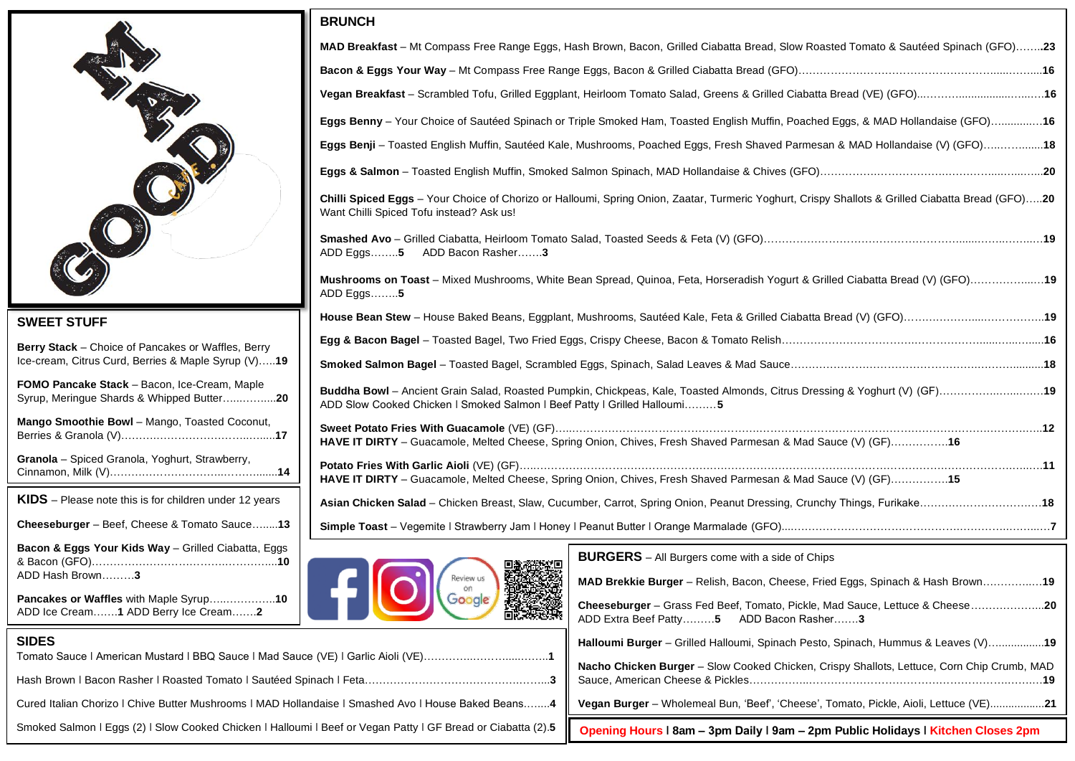

## **SWEET STUFF**

**Berry Stack** – Choice of Pancakes or Waffles, Berry Ice-cream, Citrus Curd, Berries & Maple Syrup (V)…..**19**

**FOMO Pancake Stack** – Bacon, Ice-Cream, Maple Syrup, Meringue Shards & Whipped Butter…...……....**20**

**Mango Smoothie Bowl** – Mango, Toasted Coconut, Berries & Granola (V)……….……………………..….....**17**

**Granola** – Spiced Granola, Yoghurt, Strawberry, Cinnamon, Milk (V)…………………………..……….......**14**

**KIDS** – Please note this is for children under 12 years

**Cheeseburger** – Beef, Cheese & Tomato Sauce….....**13**

**Bacon & Eggs Your Kids Way** – Grilled Ciabatta, Eggs & Bacon (GFO)……………………………….…………...**10** ADD Hash Brown………**3**

## **BRUNCH**

| MAD Breakfast - Mt Compass Free Range Eggs, Hash Brown, Bacon, Grilled Ciabatta Bread, Slow Roasted Tomato & Sautéed Spinach (GFO)23                                                                   |  |  |  |  |  |
|--------------------------------------------------------------------------------------------------------------------------------------------------------------------------------------------------------|--|--|--|--|--|
|                                                                                                                                                                                                        |  |  |  |  |  |
|                                                                                                                                                                                                        |  |  |  |  |  |
| Eggs Benny - Your Choice of Sautéed Spinach or Triple Smoked Ham, Toasted English Muffin, Poached Eggs, & MAD Hollandaise (GFO) 16                                                                     |  |  |  |  |  |
| Eggs Benji - Toasted English Muffin, Sautéed Kale, Mushrooms, Poached Eggs, Fresh Shaved Parmesan & MAD Hollandaise (V) (GFO)18                                                                        |  |  |  |  |  |
|                                                                                                                                                                                                        |  |  |  |  |  |
| Chilli Spiced Eggs - Your Choice of Chorizo or Halloumi, Spring Onion, Zaatar, Turmeric Yoghurt, Crispy Shallots & Grilled Ciabatta Bread (GFO)20<br>Want Chilli Spiced Tofu instead? Ask us!          |  |  |  |  |  |
| ADD Bacon Rasher3<br>ADD Eggs $5$                                                                                                                                                                      |  |  |  |  |  |
| Mushrooms on Toast - Mixed Mushrooms, White Bean Spread, Quinoa, Feta, Horseradish Yogurt & Grilled Ciabatta Bread (V) (GFO)19<br>ADD Eggs $5$                                                         |  |  |  |  |  |
|                                                                                                                                                                                                        |  |  |  |  |  |
|                                                                                                                                                                                                        |  |  |  |  |  |
|                                                                                                                                                                                                        |  |  |  |  |  |
| Buddha Bowl - Ancient Grain Salad, Roasted Pumpkin, Chickpeas, Kale, Toasted Almonds, Citrus Dressing & Yoghurt (V) (GF)19<br>ADD Slow Cooked Chicken   Smoked Salmon   Beef Patty   Grilled Halloumi5 |  |  |  |  |  |
| HAVE IT DIRTY - Guacamole, Melted Cheese, Spring Onion, Chives, Fresh Shaved Parmesan & Mad Sauce (V) (GF) 16                                                                                          |  |  |  |  |  |
| HAVE IT DIRTY - Guacamole, Melted Cheese, Spring Onion, Chives, Fresh Shaved Parmesan & Mad Sauce (V) (GF)15                                                                                           |  |  |  |  |  |
| Asian Chicken Salad - Chicken Breast, Slaw, Cucumber, Carrot, Spring Onion, Peanut Dressing, Crunchy Things, Furikake18                                                                                |  |  |  |  |  |
|                                                                                                                                                                                                        |  |  |  |  |  |
| <b>BURGERS</b> - All Burgers come with a side of Chips<br>回激游视频回                                                                                                                                       |  |  |  |  |  |



| <b>Bacon &amp; Eggs Your Kids Way</b> – Grilled Ciabatta, Eggs                                               |                             | <b>BURGERS</b> – All Burgers come with a side of Chips                                                                  |
|--------------------------------------------------------------------------------------------------------------|-----------------------------|-------------------------------------------------------------------------------------------------------------------------|
| ADD Hash Brown3                                                                                              | 回激系数<br>医用数数变数<br>Review us | MAD Brekkie Burger - Relish, Bacon, Cheese, Fried Eggs, Spinach & Hash Brown19                                          |
| Pancakes or Waffles with Maple Syrup10<br>ADD Ice Cream1 ADD Berry Ice Cream2                                | <b>大学文学</b>                 | Cheeseburger – Grass Fed Beef, Tomato, Pickle, Mad Sauce, Lettuce & Cheese20<br>ADD Extra Beef Patty5 ADD Bacon Rasher3 |
| <b>SIDES</b>                                                                                                 |                             | Halloumi Burger - Grilled Halloumi, Spinach Pesto, Spinach, Hummus & Leaves (V)19                                       |
|                                                                                                              |                             | Nacho Chicken Burger - Slow Cooked Chicken, Crispy Shallots, Lettuce, Corn Chip Crumb, MAD                              |
| Cured Italian Chorizo   Chive Butter Mushrooms   MAD Hollandaise   Smashed Avo   House Baked Beans4          |                             | Vegan Burger - Wholemeal Bun, 'Beef', 'Cheese', Tomato, Pickle, Aioli, Lettuce (VE)21                                   |
| Smoked Salmon I Eggs (2) I Slow Cooked Chicken I Halloumi I Beef or Vegan Patty I GF Bread or Ciabatta (2).5 |                             | Opening Hours   8am – 3pm Daily   9am – 2pm Public Holidays   Kitchen Closes 2pm                                        |